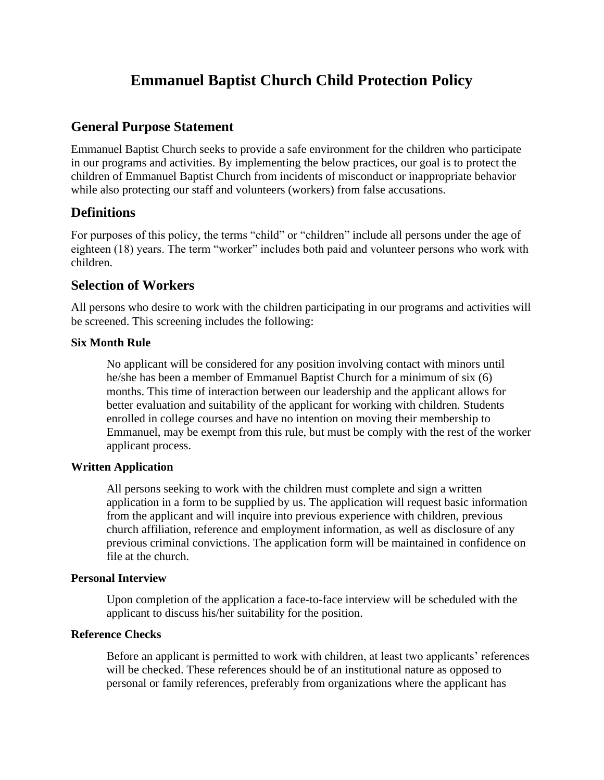# **Emmanuel Baptist Church Child Protection Policy**

## **General Purpose Statement**

Emmanuel Baptist Church seeks to provide a safe environment for the children who participate in our programs and activities. By implementing the below practices, our goal is to protect the children of Emmanuel Baptist Church from incidents of misconduct or inappropriate behavior while also protecting our staff and volunteers (workers) from false accusations.

## **Definitions**

For purposes of this policy, the terms "child" or "children" include all persons under the age of eighteen (18) years. The term "worker" includes both paid and volunteer persons who work with children.

## **Selection of Workers**

All persons who desire to work with the children participating in our programs and activities will be screened. This screening includes the following:

#### **Six Month Rule**

No applicant will be considered for any position involving contact with minors until he/she has been a member of Emmanuel Baptist Church for a minimum of six (6) months. This time of interaction between our leadership and the applicant allows for better evaluation and suitability of the applicant for working with children. Students enrolled in college courses and have no intention on moving their membership to Emmanuel, may be exempt from this rule, but must be comply with the rest of the worker applicant process.

#### **Written Application**

All persons seeking to work with the children must complete and sign a written application in a form to be supplied by us. The application will request basic information from the applicant and will inquire into previous experience with children, previous church affiliation, reference and employment information, as well as disclosure of any previous criminal convictions. The application form will be maintained in confidence on file at the church.

#### **Personal Interview**

Upon completion of the application a face-to-face interview will be scheduled with the applicant to discuss his/her suitability for the position.

#### **Reference Checks**

Before an applicant is permitted to work with children, at least two applicants' references will be checked. These references should be of an institutional nature as opposed to personal or family references, preferably from organizations where the applicant has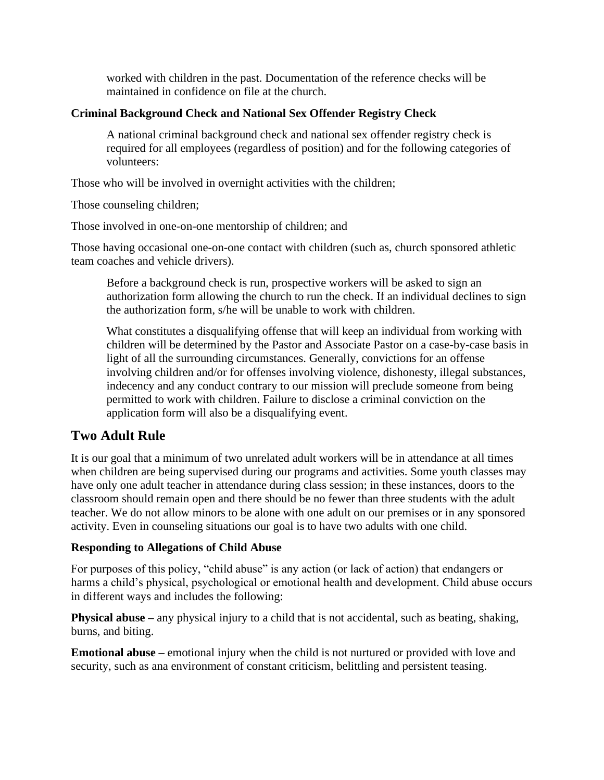worked with children in the past. Documentation of the reference checks will be maintained in confidence on file at the church.

#### **Criminal Background Check and National Sex Offender Registry Check**

A national criminal background check and national sex offender registry check is required for all employees (regardless of position) and for the following categories of volunteers:

Those who will be involved in overnight activities with the children;

Those counseling children;

Those involved in one-on-one mentorship of children; and

Those having occasional one-on-one contact with children (such as, church sponsored athletic team coaches and vehicle drivers).

Before a background check is run, prospective workers will be asked to sign an authorization form allowing the church to run the check. If an individual declines to sign the authorization form, s/he will be unable to work with children.

What constitutes a disqualifying offense that will keep an individual from working with children will be determined by the Pastor and Associate Pastor on a case-by-case basis in light of all the surrounding circumstances. Generally, convictions for an offense involving children and/or for offenses involving violence, dishonesty, illegal substances, indecency and any conduct contrary to our mission will preclude someone from being permitted to work with children. Failure to disclose a criminal conviction on the application form will also be a disqualifying event.

# **Two Adult Rule**

It is our goal that a minimum of two unrelated adult workers will be in attendance at all times when children are being supervised during our programs and activities. Some youth classes may have only one adult teacher in attendance during class session; in these instances, doors to the classroom should remain open and there should be no fewer than three students with the adult teacher. We do not allow minors to be alone with one adult on our premises or in any sponsored activity. Even in counseling situations our goal is to have two adults with one child.

#### **Responding to Allegations of Child Abuse**

For purposes of this policy, "child abuse" is any action (or lack of action) that endangers or harms a child's physical, psychological or emotional health and development. Child abuse occurs in different ways and includes the following:

**Physical abuse** – any physical injury to a child that is not accidental, such as beating, shaking, burns, and biting.

**Emotional abuse –** emotional injury when the child is not nurtured or provided with love and security, such as ana environment of constant criticism, belittling and persistent teasing.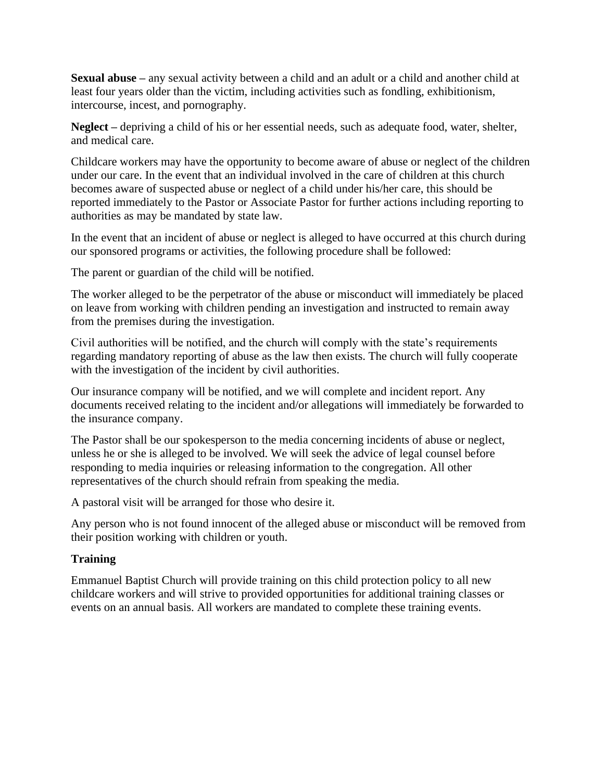**Sexual abuse –** any sexual activity between a child and an adult or a child and another child at least four years older than the victim, including activities such as fondling, exhibitionism, intercourse, incest, and pornography.

**Neglect –** depriving a child of his or her essential needs, such as adequate food, water, shelter, and medical care.

Childcare workers may have the opportunity to become aware of abuse or neglect of the children under our care. In the event that an individual involved in the care of children at this church becomes aware of suspected abuse or neglect of a child under his/her care, this should be reported immediately to the Pastor or Associate Pastor for further actions including reporting to authorities as may be mandated by state law.

In the event that an incident of abuse or neglect is alleged to have occurred at this church during our sponsored programs or activities, the following procedure shall be followed:

The parent or guardian of the child will be notified.

The worker alleged to be the perpetrator of the abuse or misconduct will immediately be placed on leave from working with children pending an investigation and instructed to remain away from the premises during the investigation.

Civil authorities will be notified, and the church will comply with the state's requirements regarding mandatory reporting of abuse as the law then exists. The church will fully cooperate with the investigation of the incident by civil authorities.

Our insurance company will be notified, and we will complete and incident report. Any documents received relating to the incident and/or allegations will immediately be forwarded to the insurance company.

The Pastor shall be our spokesperson to the media concerning incidents of abuse or neglect, unless he or she is alleged to be involved. We will seek the advice of legal counsel before responding to media inquiries or releasing information to the congregation. All other representatives of the church should refrain from speaking the media.

A pastoral visit will be arranged for those who desire it.

Any person who is not found innocent of the alleged abuse or misconduct will be removed from their position working with children or youth.

#### **Training**

Emmanuel Baptist Church will provide training on this child protection policy to all new childcare workers and will strive to provided opportunities for additional training classes or events on an annual basis. All workers are mandated to complete these training events.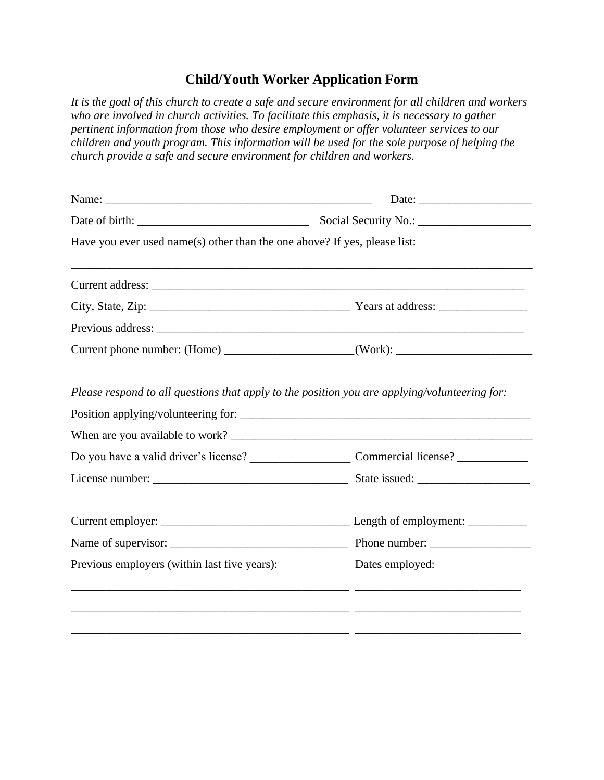# **Child/Youth Worker Application Form**

*It is the goal of this church to create a safe and secure environment for all children and workers who are involved in church activities. To facilitate this emphasis, it is necessary to gather pertinent information from those who desire employment or offer volunteer services to our children and youth program. This information will be used for the sole purpose of helping the church provide a safe and secure environment for children and workers.*

| Have you ever used name(s) other than the one above? If yes, please list:                                                        |                                                                                   |  |  |  |
|----------------------------------------------------------------------------------------------------------------------------------|-----------------------------------------------------------------------------------|--|--|--|
| Current address: Lawrence and the contract of the contract of the contract of the contract of the contract of                    |                                                                                   |  |  |  |
|                                                                                                                                  |                                                                                   |  |  |  |
|                                                                                                                                  |                                                                                   |  |  |  |
|                                                                                                                                  | Current phone number: (Home) _______________________(Work): _____________________ |  |  |  |
| Please respond to all questions that apply to the position you are applying/volunteering for:<br>When are you available to work? |                                                                                   |  |  |  |
|                                                                                                                                  |                                                                                   |  |  |  |
|                                                                                                                                  |                                                                                   |  |  |  |
|                                                                                                                                  |                                                                                   |  |  |  |
|                                                                                                                                  |                                                                                   |  |  |  |
| Previous employers (within last five years):                                                                                     | Dates employed:                                                                   |  |  |  |
|                                                                                                                                  | <u> 1980 - Jan Barbara, martxa al II-lea (h. 1980).</u>                           |  |  |  |
|                                                                                                                                  |                                                                                   |  |  |  |